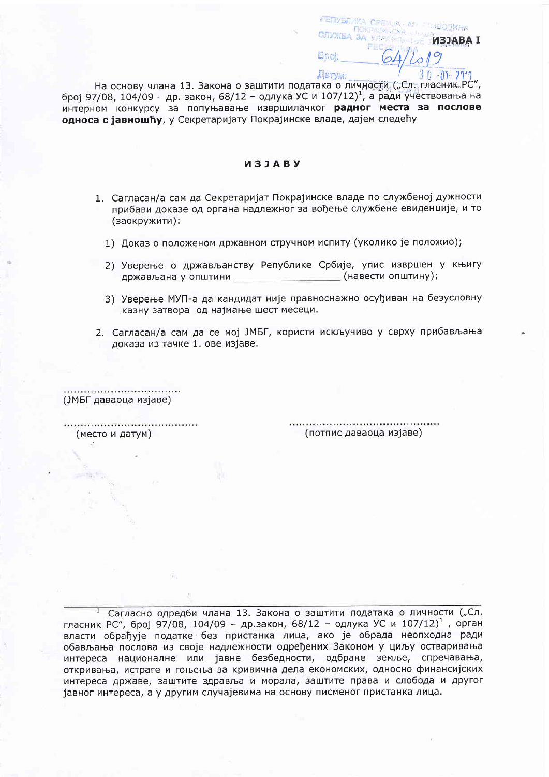23日の ほかしょ **TVXEA 3A** ИЗЈАВА I Book **Astym:** 

На основу члана 13. Закона о заштити података о личности ("Сл. гласник РС", број 97/08, 104/09 - др. закон, 68/12 - одлука УС и 107/12)<sup>1</sup>, а ради учествовања на интерном конкурсу за попуњавање извршилачког радног места за послове односа с іавношћу, у Секретаријату Покрајинске владе, дајем следећу

## *U3JABY*

- 1. Сагласан/а сам да Секретаријат Покрајинске владе по службеној дужности прибави доказе од органа надлежног за вођење службене евиденције, и то (заокружити):
	- 1) Доказ о положеном државном стручном испиту (уколико је положио);
	- 2) Уверење о држављанству Републике Србије, упис извршен у књигу (навести општину); држављана у општини
	- 3) Уверење МУП-а да кандидат није правноснажно осуђиван на безусловну казну затвора од најмање шест месеци.
- 2. Сагласан/а сам да се мој ЈМБГ, користи искључиво у сврху прибављања доказа из тачке 1. ове изјаве.

(ЈМБГ даваоца изјаве)

(место и датум)

(потпис даваоца изјаве)

<sup>1</sup> Сагласно одредби члана 13. Закона о заштити података о личности ("Сл. гласник РС", број 97/08, 104/09 - др.закон, 68/12 - одлука УС и 107/12)<sup>1</sup>, орган власти обрађује податке без пристанка лица, ако је обрада неопходна ради обављања послова из своје надлежности одређених Законом у циљу остваривања интереса националне или јавне безбедности, одбране земље, спречавања, откривања, истраге и гоњења за кривична дела економских, односно финансијских интереса државе, заштите здравља и морала, заштите права и слобода и другог јавног интереса, а у другим случајевима на основу писменог пристанка лица.